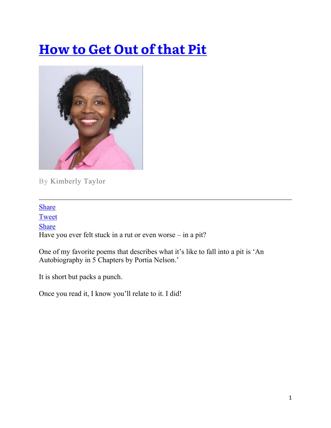## **[How to Get Out of that Pit](https://takebackyourtemple.com/how-to-get-out-of-that-pit/)**



By Kimberly Taylor

**[Share](javascript:void(0))** [Tweet](javascript:void(0)) [Share](javascript:void(0)) Have you ever felt stuck in a rut or even worse – in a pit?

One of my favorite poems that describes what it's like to fall into a pit is 'An Autobiography in 5 Chapters by Portia Nelson.'

It is short but packs a punch.

Once you read it, I know you'll relate to it. I did!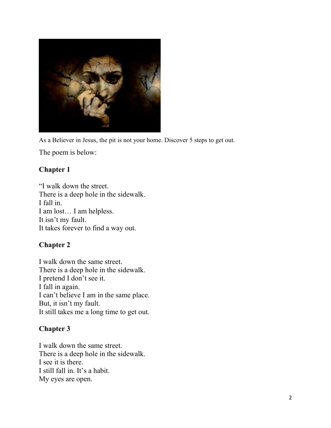

As a Believer in Jesus, the pit is not your home. Discover 5 steps to get out.

The poem is below:

### **Chapter 1**

"I walk down the street. There is a deep hole in the sidewalk. I fall in. I am lost… I am helpless. It isn't my fault. It takes forever to find a way out.

### **Chapter 2**

I walk down the same street. There is a deep hole in the sidewalk. I pretend I don't see it. I fall in again. I can't believe I am in the same place. But, it isn't my fault. It still takes me a long time to get out.

### **Chapter 3**

I walk down the same street. There is a deep hole in the sidewalk. I see it is there. I still fall in. It's a habit. My eyes are open.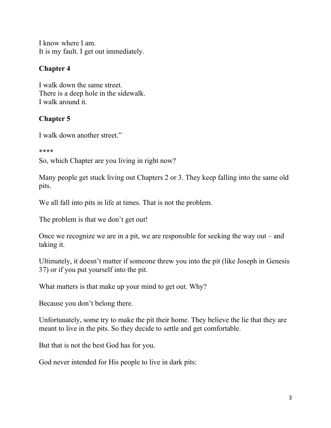I know where I am. It is my fault. I get out immediately.

### **Chapter 4**

I walk down the same street. There is a deep hole in the sidewalk. I walk around it.

### **Chapter 5**

I walk down another street."

\*\*\*\*

So, which Chapter are you living in right now?

Many people get stuck living out Chapters 2 or 3. They keep falling into the same old pits.

We all fall into pits in life at times. That is not the problem.

The problem is that we don't get out!

Once we recognize we are in a pit, we are responsible for seeking the way out – and taking it.

Ultimately, it doesn't matter if someone threw you into the pit (like Joseph in Genesis 37) or if you put yourself into the pit.

What matters is that make up your mind to get out. Why?

Because you don't belong there.

Unfortunately, some try to make the pit their home. They believe the lie that they are meant to live in the pits. So they decide to settle and get comfortable.

But that is not the best God has for you.

God never intended for His people to live in dark pits: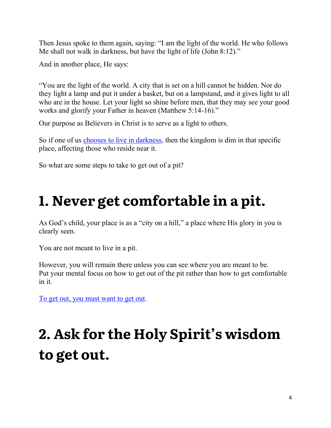Then Jesus spoke to them again, saying: "I am the light of the world. He who follows Me shall not walk in darkness, but have the light of life (John 8:12)."

And in another place, He says:

"You are the light of the world. A city that is set on a hill cannot be hidden. Nor do they light a lamp and put it under a basket, but on a lampstand, and it gives light to all who are in the house. Let your light so shine before men, that they may see your good works and glorify your Father in heaven (Matthew 5:14-16)."

Our purpose as Believers in Christ is to serve as a light to others.

So if one of us chooses [to live in darkness,](https://takebackyourtemple.com/darkness-closest-friend/) then the kingdom is dim in that specific place, affecting those who reside near it.

So what are some steps to take to get out of a pit?

## **1. Never get comfortable in a pit.**

As God's child, your place is as a "city on a hill," a place where His glory in you is clearly seen.

You are not meant to live in a pit.

However, you will remain there unless you can see where you are meant to be. Put your mental focus on how to get out of the pit rather than how to get comfortable in it.

[To get out, you must want to get out.](https://takebackyourtemple.com/rise-and-walk/)

# **2. Ask for the Holy Spirit's wisdom to get out.**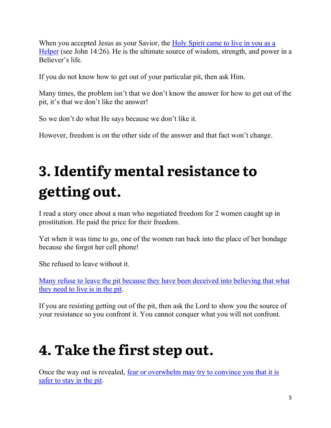When you accepted Jesus as your Savior, the Holy Spirit came to live in you as a [Helper](https://takebackyourtemple.com/overcoming-the-pain-of-the-moment/) (see John 14:26). He is the ultimate source of wisdom, strength, and power in a Believer's life.

If you do not know how to get out of your particular pit, then ask Him.

Many times, the problem isn't that we don't know the answer for how to get out of the pit, it's that we don't like the answer!

So we don't do what He says because we don't like it.

However, freedom is on the other side of the answer and that fact won't change.

# **3. Identify mental resistance to getting out.**

I read a story once about a man who negotiated freedom for 2 women caught up in prostitution. He paid the price for their freedom.

Yet when it was time to go, one of the women ran back into the place of her bondage because she forgot her cell phone!

She refused to leave without it.

[Many refuse to leave the pit because they have been deceived into believing that what](https://takebackyourtemple.com/darkness-closest-friend/)  [they need to live is in the pit.](https://takebackyourtemple.com/darkness-closest-friend/)

If you are resisting getting out of the pit, then ask the Lord to show you the source of your resistance so you confront it. You cannot conquer what you will not confront.

## **4. Take the first step out.**

Once the way out is revealed, [fear or overwhelm may try to convince you that it is](https://takebackyourtemple.com/the-root-of-fear/)  [safer to stay in the](https://takebackyourtemple.com/the-root-of-fear/) pit.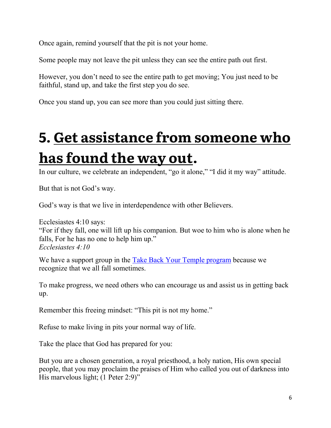Once again, remind yourself that the pit is not your home.

Some people may not leave the pit unless they can see the entire path out first.

However, you don't need to see the entire path to get moving; You just need to be faithful, stand up, and take the first step you do see.

Once you stand up, you can see more than you could just sitting there.

# **5. Get assistance [from someone who](https://takebackyourtemple.com/program/)  [has found the way out.](https://takebackyourtemple.com/program/)**

In our culture, we celebrate an independent, "go it alone," "I did it my way" attitude.

But that is not God's way.

God's way is that we live in interdependence with other Believers.

Ecclesiastes 4:10 says: "For if they fall, one will lift up his companion. But woe to him who is alone when he falls, For he has no one to help him up." *Ecclesiastes 4:10*

We have a support group in the [Take Back Your Temple program](https://takebackyourtemple.com/program/) because we recognize that we all fall sometimes.

To make progress, we need others who can encourage us and assist us in getting back up.

Remember this freeing mindset: "This pit is not my home."

Refuse to make living in pits your normal way of life.

Take the place that God has prepared for you:

But you are a chosen generation, a royal priesthood, a holy nation, His own special people, that you may proclaim the praises of Him who called you out of darkness into His marvelous light; (1 Peter 2:9)"